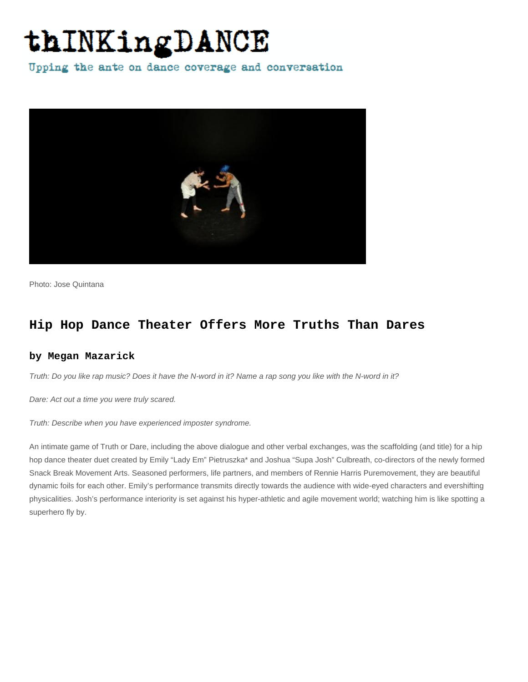## thINKingDANCE

Upping the ante on dance coverage and conversation



Photo: Jose Quintana

## **Hip Hop Dance Theater Offers More Truths Than Dares**

## **by Megan Mazarick**

Truth: Do you like rap music? Does it have the N-word in it? Name a rap song you like with the N-word in it?

Dare: Act out a time you were truly scared.

Truth: Describe when you have experienced imposter syndrome.

An intimate game of Truth or Dare, including the above dialogue and other verbal exchanges, was the scaffolding (and title) for a hip hop dance theater duet created by Emily "Lady Em" Pietruszka\* and Joshua "Supa Josh" Culbreath, co-directors of the newly formed Snack Break Movement Arts. Seasoned performers, life partners, and members of Rennie Harris Puremovement, they are beautiful dynamic foils for each other. Emily's performance transmits directly towards the audience with wide-eyed characters and evershifting physicalities. Josh's performance interiority is set against his hyper-athletic and agile movement world; watching him is like spotting a superhero fly by.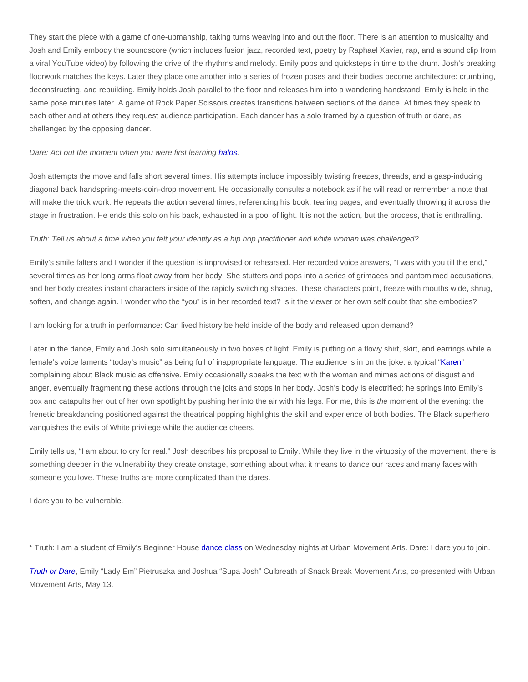They start the piece with a game of one-upmanship, taking turns weaving into and out the floor. There is an attention to musicality and Josh and Emily embody the soundscore (which includes fusion jazz, recorded text, poetry by Raphael Xavier, rap, and a sound clip from a viral YouTube video) by following the drive of the rhythms and melody. Emily pops and quicksteps in time to the drum. Josh's breaking floorwork matches the keys. Later they place one another into a series of frozen poses and their bodies become architecture: crumbling, deconstructing, and rebuilding. Emily holds Josh parallel to the floor and releases him into a wandering handstand; Emily is held in the same pose minutes later. A game of Rock Paper Scissors creates transitions between sections of the dance. At times they speak to each other and at others they request audience participation. Each dancer has a solo framed by a question of truth or dare, as challenged by the opposing dancer.

Dare: Act out the moment when you were first learnin[g halos](http://www.youtube.com/watch?v=sIm5QJZgOCw).

Josh attempts the move and falls short several times. His attempts include impossibly twisting freezes, threads, and a gasp-inducing diagonal back handspring-meets-coin-drop movement. He occasionally consults a notebook as if he will read or remember a note that will make the trick work. He repeats the action several times, referencing his book, tearing pages, and eventually throwing it across the stage in frustration. He ends this solo on his back, exhausted in a pool of light. It is not the action, but the process, that is enthralling.

Truth: Tell us about a time when you felt your identity as a hip hop practitioner and white woman was challenged?

Emily's smile falters and I wonder if the question is improvised or rehearsed. Her recorded voice answers, "I was with you till the end," several times as her long arms float away from her body. She stutters and pops into a series of grimaces and pantomimed accusations, and her body creates instant characters inside of the rapidly switching shapes. These characters point, freeze with mouths wide, shrug, soften, and change again. I wonder who the "you" is in her recorded text? Is it the viewer or her own self doubt that she embodies?

I am looking for a truth in performance: Can lived history be held inside of the body and released upon demand?

Later in the dance, Emily and Josh solo simultaneously in two boxes of light. Emily is putting on a flowy shirt, skirt, and earrings while a female's voice laments "today's music" as being full of inappropriate language. The audience is in on the joke: a typical ["Karen](https://www.bbc.com/news/world-53588201)" complaining about Black music as offensive. Emily occasionally speaks the text with the woman and mimes actions of disgust and anger, eventually fragmenting these actions through the jolts and stops in her body. Josh's body is electrified; he springs into Emily's box and catapults her out of her own spotlight by pushing her into the air with his legs. For me, this is the moment of the evening: the frenetic breakdancing positioned against the theatrical popping highlights the skill and experience of both bodies. The Black superhero vanquishes the evils of White privilege while the audience cheers.

Emily tells us, "I am about to cry for real." Josh describes his proposal to Emily. While they live in the virtuosity of the movement, there is something deeper in the vulnerability they create onstage, something about what it means to dance our races and many faces with someone you love. These truths are more complicated than the dares.

I dare you to be vulnerable.

\* Truth: I am a student of Emily's Beginner Hous[e dance class](https://www.urbanmovementarts.com/class-guide.html) on Wednesday nights at Urban Movement Arts. Dare: I dare you to join.

[Truth or Dare,](https://philadelphiadance.org/dancejournal/2022/04/20/urban-movement-arts-presents-truth-or-dare-with-snack-break-performing-arts-may-13/) Emily "Lady Em" Pietruszka and Joshua "Supa Josh" Culbreath of Snack Break Movement Arts, co-presented with Urban Movement Arts, May 13.